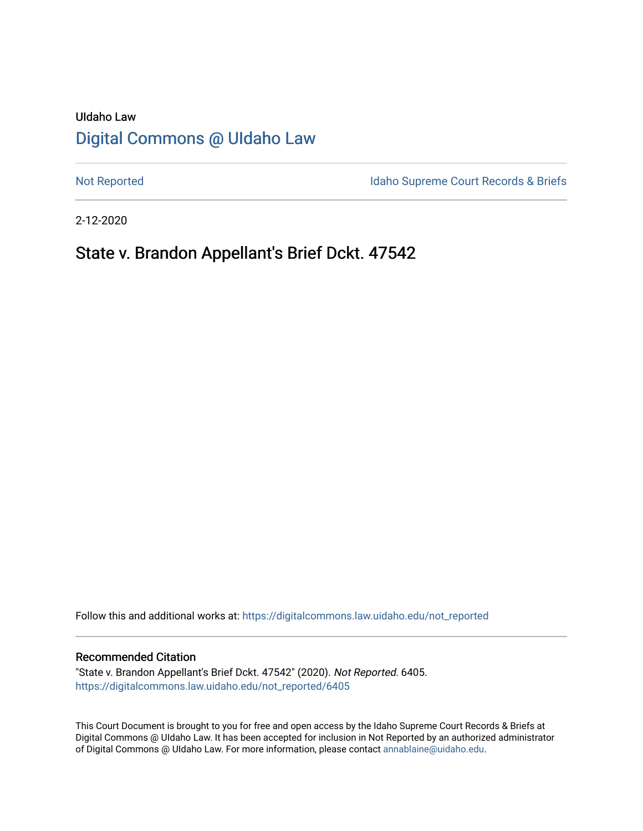# UIdaho Law [Digital Commons @ UIdaho Law](https://digitalcommons.law.uidaho.edu/)

[Not Reported](https://digitalcommons.law.uidaho.edu/not_reported) **Idaho Supreme Court Records & Briefs** 

2-12-2020

# State v. Brandon Appellant's Brief Dckt. 47542

Follow this and additional works at: [https://digitalcommons.law.uidaho.edu/not\\_reported](https://digitalcommons.law.uidaho.edu/not_reported?utm_source=digitalcommons.law.uidaho.edu%2Fnot_reported%2F6405&utm_medium=PDF&utm_campaign=PDFCoverPages) 

#### Recommended Citation

"State v. Brandon Appellant's Brief Dckt. 47542" (2020). Not Reported. 6405. [https://digitalcommons.law.uidaho.edu/not\\_reported/6405](https://digitalcommons.law.uidaho.edu/not_reported/6405?utm_source=digitalcommons.law.uidaho.edu%2Fnot_reported%2F6405&utm_medium=PDF&utm_campaign=PDFCoverPages)

This Court Document is brought to you for free and open access by the Idaho Supreme Court Records & Briefs at Digital Commons @ UIdaho Law. It has been accepted for inclusion in Not Reported by an authorized administrator of Digital Commons @ UIdaho Law. For more information, please contact [annablaine@uidaho.edu](mailto:annablaine@uidaho.edu).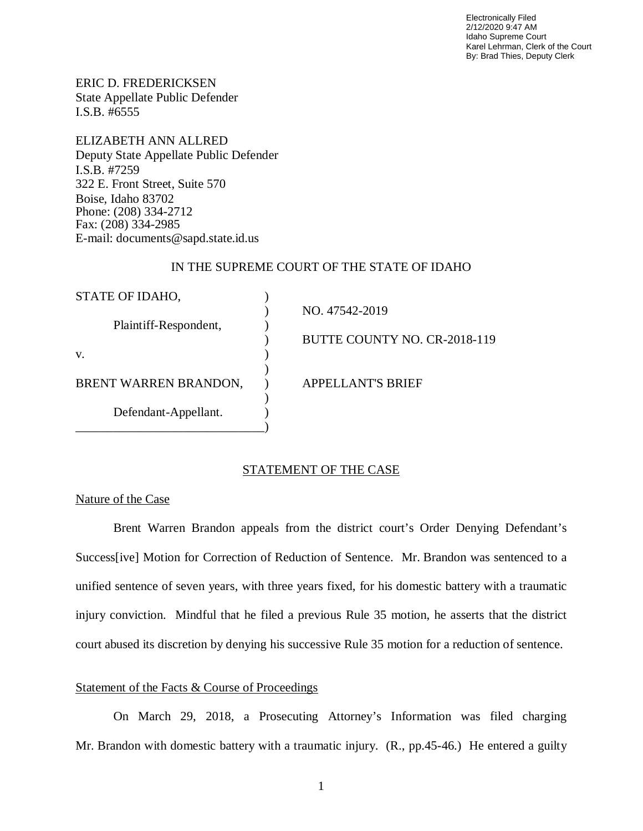Electronically Filed 2/12/2020 9:47 AM Idaho Supreme Court Karel Lehrman, Clerk of the Court By: Brad Thies, Deputy Clerk

ERIC D. FREDERICKSEN State Appellate Public Defender I.S.B. #6555

ELIZABETH ANN ALLRED Deputy State Appellate Public Defender I.S.B. #7259 322 E. Front Street, Suite 570 Boise, Idaho 83702 Phone: (208) 334-2712 Fax: (208) 334-2985 E-mail: documents@sapd.state.id.us

# IN THE SUPREME COURT OF THE STATE OF IDAHO

| STATE OF IDAHO,       |                              |
|-----------------------|------------------------------|
| Plaintiff-Respondent, | NO. 47542-2019               |
|                       | BUTTE COUNTY NO. CR-2018-119 |
| V.                    |                              |
| BRENT WARREN BRANDON, | <b>APPELLANT'S BRIEF</b>     |
| Defendant-Appellant.  |                              |
|                       |                              |

## STATEMENT OF THE CASE

## Nature of the Case

Brent Warren Brandon appeals from the district court's Order Denying Defendant's Success[ive] Motion for Correction of Reduction of Sentence. Mr. Brandon was sentenced to a unified sentence of seven years, with three years fixed, for his domestic battery with a traumatic injury conviction. Mindful that he filed a previous Rule 35 motion, he asserts that the district court abused its discretion by denying his successive Rule 35 motion for a reduction of sentence.

# Statement of the Facts & Course of Proceedings

On March 29, 2018, a Prosecuting Attorney's Information was filed charging Mr. Brandon with domestic battery with a traumatic injury. (R., pp.45-46.) He entered a guilty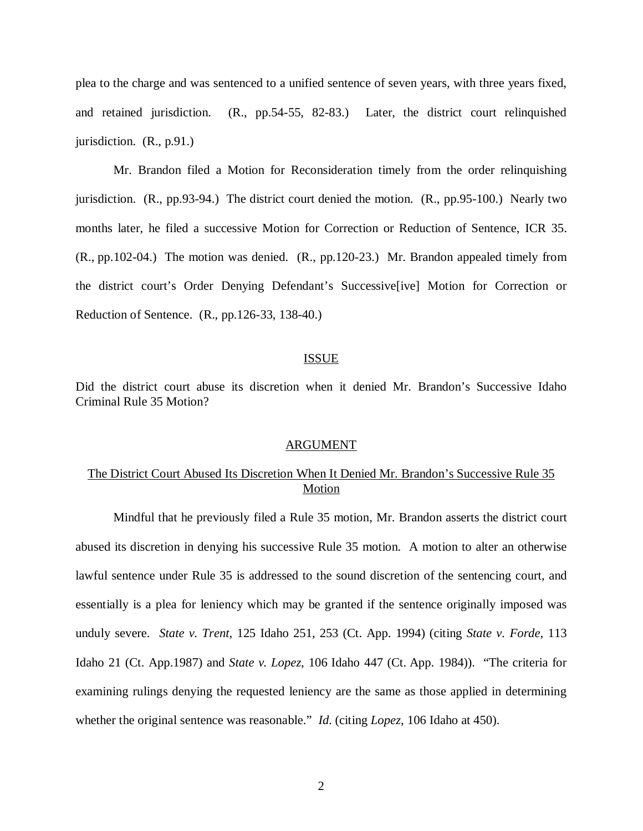plea to the charge and was sentenced to a unified sentence of seven years, with three years fixed, and retained jurisdiction. (R., pp.54-55, 82-83.) Later, the district court relinquished jurisdiction. (R., p.91.)

Mr. Brandon filed a Motion for Reconsideration timely from the order relinquishing jurisdiction. (R., pp.93-94.) The district court denied the motion. (R., pp.95-100.) Nearly two months later, he filed a successive Motion for Correction or Reduction of Sentence, ICR 35. (R., pp.102-04.) The motion was denied. (R., pp.120-23.) Mr. Brandon appealed timely from the district court's Order Denying Defendant's Successive[ive] Motion for Correction or Reduction of Sentence. (R., pp.126-33, 138-40.)

### ISSUE

Did the district court abuse its discretion when it denied Mr. Brandon's Successive Idaho Criminal Rule 35 Motion?

#### ARGUMENT

# The District Court Abused Its Discretion When It Denied Mr. Brandon's Successive Rule 35 Motion

Mindful that he previously filed a Rule 35 motion, Mr. Brandon asserts the district court abused its discretion in denying his successive Rule 35 motion. A motion to alter an otherwise lawful sentence under Rule 35 is addressed to the sound discretion of the sentencing court, and essentially is a plea for leniency which may be granted if the sentence originally imposed was unduly severe. *State v. Trent*, 125 Idaho 251, 253 (Ct. App. 1994) (citing *State v. Forde*, 113 Idaho 21 (Ct. App.1987) and *State v. Lopez*, 106 Idaho 447 (Ct. App. 1984)). "The criteria for examining rulings denying the requested leniency are the same as those applied in determining whether the original sentence was reasonable." *Id*. (citing *Lopez*, 106 Idaho at 450).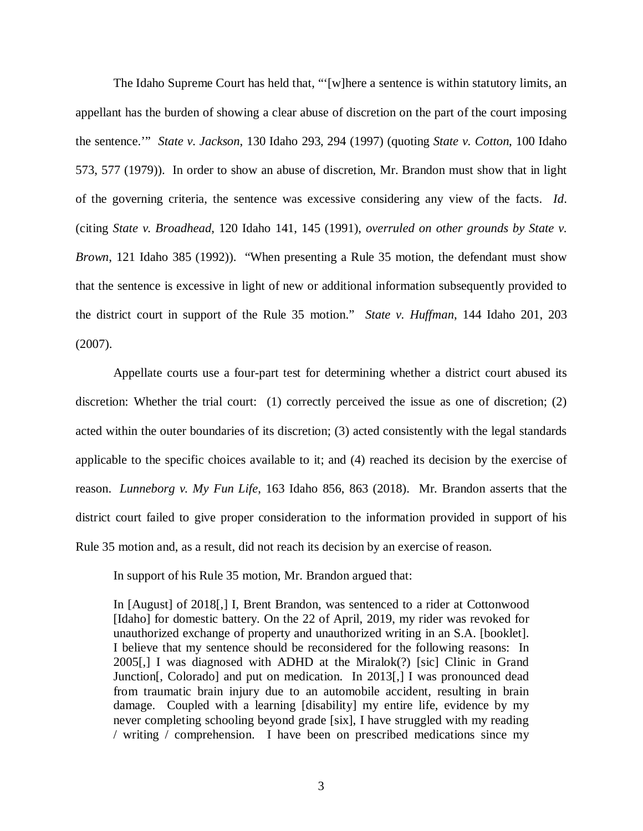The Idaho Supreme Court has held that, "'[w]here a sentence is within statutory limits, an appellant has the burden of showing a clear abuse of discretion on the part of the court imposing the sentence.'" *State v. Jackson*, 130 Idaho 293, 294 (1997) (quoting *State v. Cotton*, 100 Idaho 573, 577 (1979)). In order to show an abuse of discretion, Mr. Brandon must show that in light of the governing criteria, the sentence was excessive considering any view of the facts. *Id*. (citing *State v. Broadhead*, 120 Idaho 141, 145 (1991), *overruled on other grounds by State v. Brown*, 121 Idaho 385 (1992)). "When presenting a Rule 35 motion, the defendant must show that the sentence is excessive in light of new or additional information subsequently provided to the district court in support of the Rule 35 motion." *State v. Huffman*, 144 Idaho 201, 203 (2007).

Appellate courts use a four-part test for determining whether a district court abused its discretion: Whether the trial court: (1) correctly perceived the issue as one of discretion; (2) acted within the outer boundaries of its discretion; (3) acted consistently with the legal standards applicable to the specific choices available to it; and (4) reached its decision by the exercise of reason. *Lunneborg v. My Fun Life*, 163 Idaho 856, 863 (2018). Mr. Brandon asserts that the district court failed to give proper consideration to the information provided in support of his Rule 35 motion and, as a result, did not reach its decision by an exercise of reason.

In support of his Rule 35 motion, Mr. Brandon argued that:

In [August] of 2018[,] I, Brent Brandon, was sentenced to a rider at Cottonwood [Idaho] for domestic battery. On the 22 of April, 2019, my rider was revoked for unauthorized exchange of property and unauthorized writing in an S.A. [booklet]. I believe that my sentence should be reconsidered for the following reasons: In 2005[,] I was diagnosed with ADHD at the Miralok(?) [sic] Clinic in Grand Junction[, Colorado] and put on medication. In 2013[,] I was pronounced dead from traumatic brain injury due to an automobile accident, resulting in brain damage. Coupled with a learning [disability] my entire life, evidence by my never completing schooling beyond grade [six], I have struggled with my reading / writing / comprehension. I have been on prescribed medications since my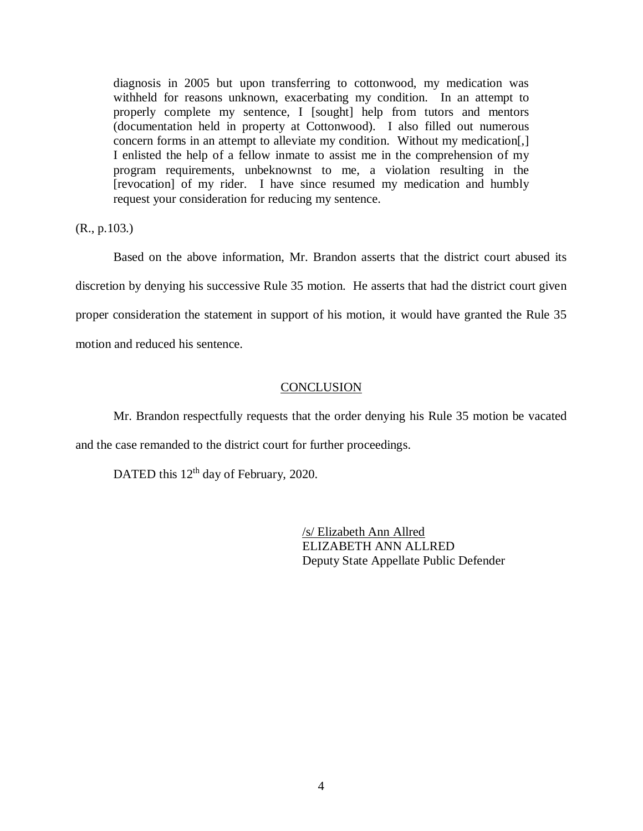diagnosis in 2005 but upon transferring to cottonwood, my medication was withheld for reasons unknown, exacerbating my condition. In an attempt to properly complete my sentence, I [sought] help from tutors and mentors (documentation held in property at Cottonwood). I also filled out numerous concern forms in an attempt to alleviate my condition. Without my medication[,] I enlisted the help of a fellow inmate to assist me in the comprehension of my program requirements, unbeknownst to me, a violation resulting in the [revocation] of my rider. I have since resumed my medication and humbly request your consideration for reducing my sentence.

(R., p.103.)

Based on the above information, Mr. Brandon asserts that the district court abused its discretion by denying his successive Rule 35 motion. He asserts that had the district court given proper consideration the statement in support of his motion, it would have granted the Rule 35 motion and reduced his sentence.

## **CONCLUSION**

Mr. Brandon respectfully requests that the order denying his Rule 35 motion be vacated and the case remanded to the district court for further proceedings.

DATED this 12<sup>th</sup> day of February, 2020.

/s/ Elizabeth Ann Allred ELIZABETH ANN ALLRED Deputy State Appellate Public Defender